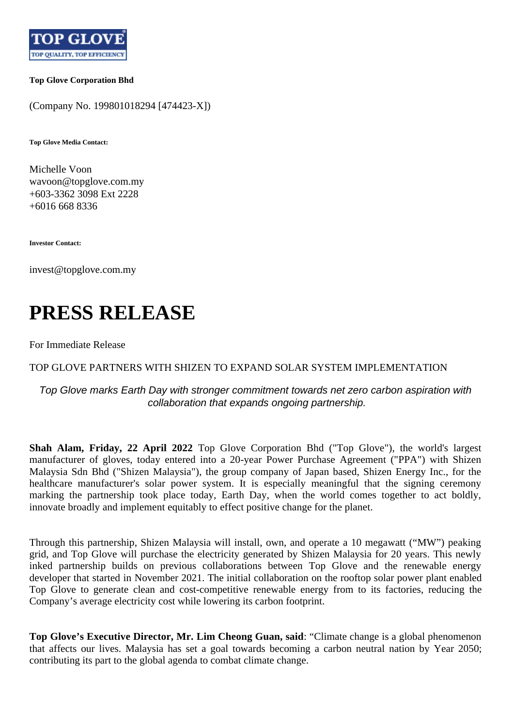

**Top Glove Corporation Bhd**

(Company No. 199801018294 [474423-X])

**Top Glove Media Contact:**

Michelle Voon wavoon@topglove.com.my +603-3362 3098 Ext 2228 +6016 668 8336

**Investor Contact:**

invest@topglove.com.my

## **PRESS RELEASE**

For Immediate Release

TOP GLOVE PARTNERS WITH SHIZEN TO EXPAND SOLAR SYSTEM IMPLEMENTATION

Top Glove marks Earth Day with stronger commitment towards net zero carbon aspiration with collaboration that expands ongoing partnership.

**Shah Alam, Friday, 22 April 2022** Top Glove Corporation Bhd ("Top Glove"), the world's largest manufacturer of gloves, today entered into a 20-year Power Purchase Agreement ("PPA") with Shizen Malaysia Sdn Bhd ("Shizen Malaysia"), the group company of Japan based, Shizen Energy Inc., for the healthcare manufacturer's solar power system. It is especially meaningful that the signing ceremony marking the partnership took place today, Earth Day, when the world comes together to act boldly, innovate broadly and implement equitably to effect positive change for the planet.

Through this partnership, Shizen Malaysia will install, own, and operate a 10 megawatt ("MW") peaking grid, and Top Glove will purchase the electricity generated by Shizen Malaysia for 20 years. This newly inked partnership builds on previous collaborations between Top Glove and the renewable energy developer that started in November 2021. The initial collaboration on the rooftop solar power plant enabled Top Glove to generate clean and cost-competitive renewable energy from to its factories, reducing the Company's average electricity cost while lowering its carbon footprint.

**Top Glove's Executive Director, Mr. Lim Cheong Guan, said**: "Climate change is a global phenomenon that affects our lives. Malaysia has set a goal towards becoming a carbon neutral nation by Year 2050; contributing its part to the global agenda to combat climate change.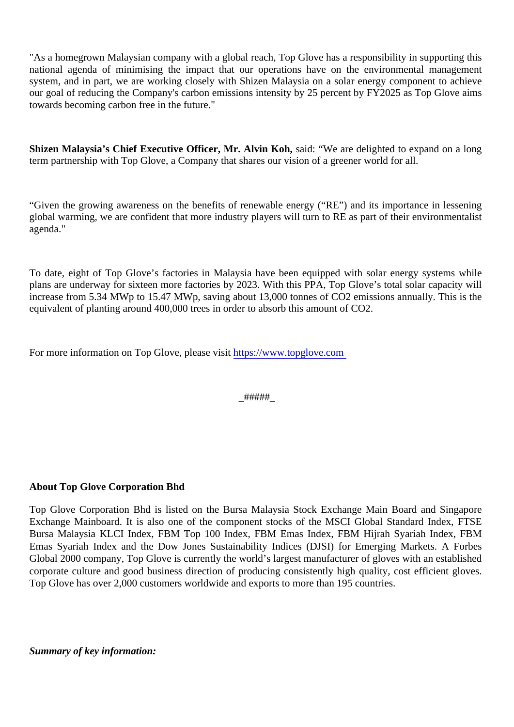"As a homegrown Malaysian company with a global reach, Top Glove has a responsibility in supporting the national agenda of minimising the impact that our operations have on the environmental management system, and in part, we are working closely with Shizen Malaysia on a solar energy component to achie our goal of reducing the Company's carbon emissions intensity by 25 percent by FY2025 as Top Glove ai towards becoming carbon free in the future."

Shizen Malaysia's Chief Executive Officer, Mr. Alvin Koh, said: "We are delighted to expand on a long term partnership with Top Glove, a Company that shares our vision of a greener world for all.

"Given the growing awareness on the benefits of renewable energy ("RE") and its importance in lesseni global warming, we are confident that more industry players will turn to RE as part of their environmentalisti agenda."

To date, eight of Top Glove's factories in Malaysia have been equipped with solar energy systems wh plans are underway for sixteen more factories by 2023. With this PPA, Top Glove's total solar capacity w increase from 5.34 MWp to 15.47 MWp, saving about 13,000 tonnes of CO2 emissions annually. This is t equivalent of planting around 400,000 trees in order to absorb this amount of CO2.

For more information on Top Glove, please [visit https://www.topglove.com](https://www.topglove.com/home)

\_#####\_

About Top Glove Corporation Bhd

Top Glove Corporation Bhd is listed on the Bursa Malaysia Stock Exchange Main Board and Singapo Exchange Mainboard. It is also one of the component stocks of the MSCI Global Standard Index, FTS Bursa Malaysia KLCI Index, FBM Top 100 Index, FBM Emas Index, FBM Hijrah Syariah Index, FBM Emas Syariah Index and the Dow Jones Sustainability Indices (DJSI) for Emerging Markets. A Forbe Global 2000 company, Top Glove is currently the world's largest manufacturer of gloves with an established corporate culture and good business direction of producing consistently high quality, cost efficient glove Top Glove has over 2,000 customers worldwide and exports to more than 195 countries.

Summary of key information: